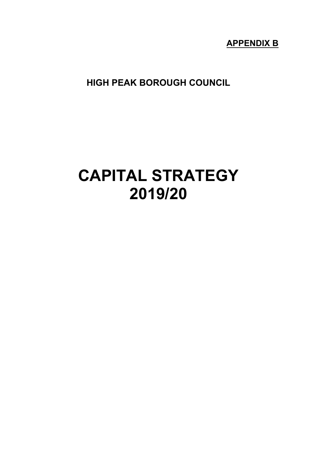# **APPENDIX B**

**HIGH PEAK BOROUGH COUNCIL**

# **CAPITAL STRATEGY 2019/20**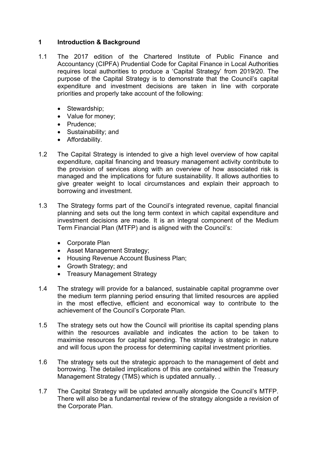# **1 Introduction & Background**

- 1.1 The 2017 edition of the Chartered Institute of Public Finance and Accountancy (CIPFA) Prudential Code for Capital Finance in Local Authorities requires local authorities to produce a 'Capital Strategy' from 2019/20. The purpose of the Capital Strategy is to demonstrate that the Council's capital expenditure and investment decisions are taken in line with corporate priorities and properly take account of the following:
	- Stewardship;
	- Value for money;
	- Prudence:
	- Sustainability; and
	- Affordability.
- 1.2 The Capital Strategy is intended to give a high level overview of how capital expenditure, capital financing and treasury management activity contribute to the provision of services along with an overview of how associated risk is managed and the implications for future sustainability. It allows authorities to give greater weight to local circumstances and explain their approach to borrowing and investment.
- 1.3 The Strategy forms part of the Council's integrated revenue, capital financial planning and sets out the long term context in which capital expenditure and investment decisions are made. It is an integral component of the Medium Term Financial Plan (MTFP) and is aligned with the Council's:
	- Corporate Plan
	- Asset Management Strategy;
	- Housing Revenue Account Business Plan;
	- Growth Strategy; and
	- Treasury Management Strategy
- 1.4 The strategy will provide for a balanced, sustainable capital programme over the medium term planning period ensuring that limited resources are applied in the most effective, efficient and economical way to contribute to the achievement of the Council's Corporate Plan.
- 1.5 The strategy sets out how the Council will prioritise its capital spending plans within the resources available and indicates the action to be taken to maximise resources for capital spending. The strategy is strategic in nature and will focus upon the process for determining capital investment priorities.
- 1.6 The strategy sets out the strategic approach to the management of debt and borrowing. The detailed implications of this are contained within the Treasury Management Strategy (TMS) which is updated annually. .
- 1.7 The Capital Strategy will be updated annually alongside the Council's MTFP. There will also be a fundamental review of the strategy alongside a revision of the Corporate Plan.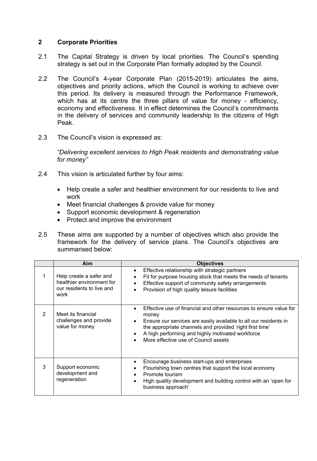# **2 Corporate Priorities**

- 2.1 The Capital Strategy is driven by local priorities. The Council's spending strategy is set out in the Corporate Plan formally adopted by the Council.
- 2.2 The Council's 4-year Corporate Plan (2015-2019) articulates the aims, objectives and priority actions, which the Council is working to achieve over this period. Its delivery is measured through the Performance Framework, which has at its centre the three pillars of value for money - efficiency, economy and effectiveness. It in effect determines the Council's commitments in the delivery of services and community leadership to the citizens of High Peak.
- 2.3 The Council's vision is expressed as:

*"Delivering excellent services to High Peak residents and demonstrating value for money"*

- 2.4 This vision is articulated further by four aims:
	- Help create a safer and healthier environment for our residents to live and work
	- Meet financial challenges & provide value for money
	- Support economic development & regeneration
	- Protect and improve the environment
- 2.5 These aims are supported by a number of objectives which also provide the framework for the delivery of service plans. The Council's objectives are summarised below:

|   | Aim                                                                                       | <b>Objectives</b>                                                                                                                                                                                                                                                                                                                              |
|---|-------------------------------------------------------------------------------------------|------------------------------------------------------------------------------------------------------------------------------------------------------------------------------------------------------------------------------------------------------------------------------------------------------------------------------------------------|
|   | Help create a safer and<br>healthier environment for<br>our residents to live and<br>work | Effective relationship with strategic partners<br>$\bullet$<br>Fit for purpose housing stock that meets the needs of tenants<br>$\bullet$<br>Effective support of community safety arrangements<br>$\bullet$<br>Provision of high quality leisure facilities                                                                                   |
| 2 | Meet its financial<br>challenges and provide<br>value for money                           | Effective use of financial and other resources to ensure value for<br>$\bullet$<br>money<br>Ensure our services are easily available to all our residents in<br>$\bullet$<br>the appropriate channels and provided 'right first time'<br>A high performing and highly motivated workforce<br>$\bullet$<br>More effective use of Council assets |
| 3 | Support economic<br>development and<br>regeneration                                       | Encourage business start-ups and enterprises<br>$\bullet$<br>Flourishing town centres that support the local economy<br>Promote tourism<br>$\bullet$<br>High quality development and building control with an 'open for<br>$\bullet$<br>business approach'                                                                                     |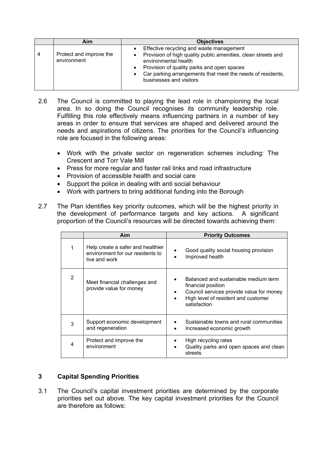|   | Aim                                    | <b>Objectives</b>                                                                                                                                                                                                                                                        |
|---|----------------------------------------|--------------------------------------------------------------------------------------------------------------------------------------------------------------------------------------------------------------------------------------------------------------------------|
| 4 | Protect and improve the<br>environment | Effective recycling and waste management<br>Provision of high quality public amenities, clean streets and<br>environmental health<br>Provision of quality parks and open spaces<br>Car parking arrangements that meet the needs of residents,<br>businesses and visitors |

- 2.6 The Council is committed to playing the lead role in championing the local area. In so doing the Council recognises its community leadership role. Fulfilling this role effectively means influencing partners in a number of key areas in order to ensure that services are shaped and delivered around the needs and aspirations of citizens. The priorities for the Council's influencing role are focused in the following areas:
	- Work with the private sector on regeneration schemes including: The Crescent and Torr Vale Mill
	- Press for more regular and faster rail links and road infrastructure
	- Provision of accessible health and social care
	- Support the police in dealing with anti social behaviour
	- Work with partners to bring additional funding into the Borough
- 2.7 The Plan identifies key priority outcomes, which will be the highest priority in the development of performance targets and key actions. A significant proportion of the Council's resources will be directed towards achieving them:

|   | Aim                                                                                    | <b>Priority Outcomes</b>                                                                                                                                           |
|---|----------------------------------------------------------------------------------------|--------------------------------------------------------------------------------------------------------------------------------------------------------------------|
|   | Help create a safer and healthier<br>environment for our residents to<br>live and work | Good quality social housing provision<br>Improved health                                                                                                           |
| 2 | Meet financial challenges and<br>provide value for money                               | Balanced and sustainable medium term<br>financial position<br>Council services provide value for money<br>٠<br>High level of resident and customer<br>satisfaction |
| 3 | Support economic development<br>and regeneration                                       | Sustainable towns and rural communities<br>Increased economic growth<br>٠                                                                                          |
| 4 | Protect and improve the<br>environment                                                 | High recycling rates<br>Quality parks and open spaces and clean<br>$\bullet$<br>streets                                                                            |

# **3 Capital Spending Priorities**

3.1 The Council's capital investment priorities are determined by the corporate priorities set out above. The key capital investment priorities for the Council are therefore as follows: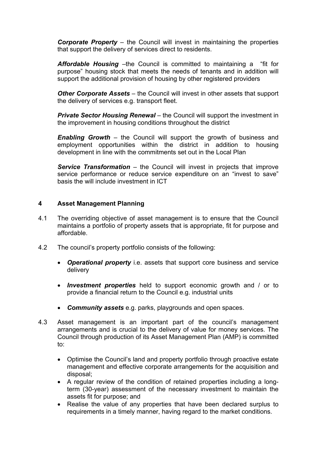*Corporate Property* – the Council will invest in maintaining the properties that support the delivery of services direct to residents.

*Affordable Housing* –the Council is committed to maintaining a "fit for purpose" housing stock that meets the needs of tenants and in addition will support the additional provision of housing by other registered providers

*Other Corporate Assets* – the Council will invest in other assets that support the delivery of services e.g. transport fleet.

*Private Sector Housing Renewal* – the Council will support the investment in the improvement in housing conditions throughout the district

*Enabling Growth* – the Council will support the growth of business and employment opportunities within the district in addition to housing development in line with the commitments set out in the Local Plan

*Service Transformation* – the Council will invest in projects that improve service performance or reduce service expenditure on an "invest to save" basis the will include investment in ICT

# **4 Asset Management Planning**

- 4.1 The overriding objective of asset management is to ensure that the Council maintains a portfolio of property assets that is appropriate, fit for purpose and affordable.
- 4.2 The council's property portfolio consists of the following:
	- *Operational property* i.e. assets that support core business and service delivery
	- *Investment properties* held to support economic growth and / or to provide a financial return to the Council e.g. industrial units
	- *Community assets* e.g. parks, playgrounds and open spaces.
- 4.3 Asset management is an important part of the council's management arrangements and is crucial to the delivery of value for money services. The Council through production of its Asset Management Plan (AMP) is committed to:
	- Optimise the Council's land and property portfolio through proactive estate management and effective corporate arrangements for the acquisition and disposal;
	- A regular review of the condition of retained properties including a longterm (30-year) assessment of the necessary investment to maintain the assets fit for purpose; and
	- Realise the value of any properties that have been declared surplus to requirements in a timely manner, having regard to the market conditions.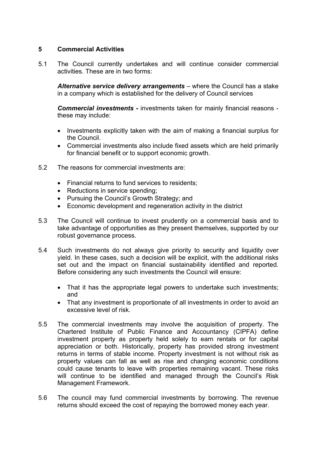# **5 Commercial Activities**

5.1 The Council currently undertakes and will continue consider commercial activities. These are in two forms:

*Alternative service delivery arrangements* – where the Council has a stake in a company which is established for the delivery of Council services

*Commercial investments* **-** investments taken for mainly financial reasons these may include:

- Investments explicitly taken with the aim of making a financial surplus for the Council.
- Commercial investments also include fixed assets which are held primarily for financial benefit or to support economic growth.
- 5.2 The reasons for commercial investments are:
	- Financial returns to fund services to residents;
	- Reductions in service spending;
	- Pursuing the Council's Growth Strategy; and
	- Economic development and regeneration activity in the district
- 5.3 The Council will continue to invest prudently on a commercial basis and to take advantage of opportunities as they present themselves, supported by our robust governance process.
- 5.4 Such investments do not always give priority to security and liquidity over yield. In these cases, such a decision will be explicit, with the additional risks set out and the impact on financial sustainability identified and reported. Before considering any such investments the Council will ensure:
	- That it has the appropriate legal powers to undertake such investments; and
	- That any investment is proportionate of all investments in order to avoid an excessive level of risk.
- 5.5 The commercial investments may involve the acquisition of property. The Chartered Institute of Public Finance and Accountancy (CIPFA) define investment property as property held solely to earn rentals or for capital appreciation or both. Historically, property has provided strong investment returns in terms of stable income. Property investment is not without risk as property values can fall as well as rise and changing economic conditions could cause tenants to leave with properties remaining vacant. These risks will continue to be identified and managed through the Council's Risk Management Framework.
- 5.6 The council may fund commercial investments by borrowing. The revenue returns should exceed the cost of repaying the borrowed money each year.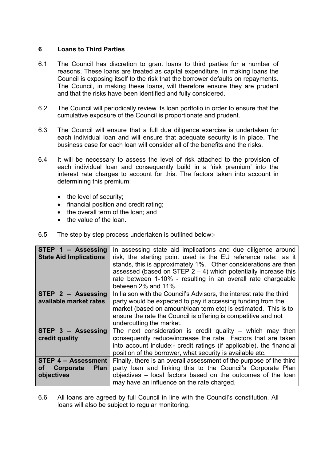# **6 Loans to Third Parties**

- 6.1 The Council has discretion to grant loans to third parties for a number of reasons. These loans are treated as capital expenditure. In making loans the Council is exposing itself to the risk that the borrower defaults on repayments. The Council, in making these loans, will therefore ensure they are prudent and that the risks have been identified and fully considered.
- 6.2 The Council will periodically review its loan portfolio in order to ensure that the cumulative exposure of the Council is proportionate and prudent.
- 6.3 The Council will ensure that a full due diligence exercise is undertaken for each individual loan and will ensure that adequate security is in place. The business case for each loan will consider all of the benefits and the risks.
- 6.4 It will be necessary to assess the level of risk attached to the provision of each individual loan and consequently build in a 'risk premium' into the interest rate charges to account for this. The factors taken into account in determining this premium:
	- $\bullet$  the level of security;
	- financial position and credit rating;
	- the overall term of the loan; and
	- the value of the loan.
- 6.5 The step by step process undertaken is outlined below:-

| STEP 1 - Assessing<br><b>State Aid Implications</b>                        | In assessing state aid implications and due diligence around<br>risk, the starting point used is the EU reference rate: as it<br>stands, this is approximately 1%. Other considerations are then<br>assessed (based on STEP $2 - 4$ ) which potentially increase this<br>rate between 1-10% - resulting in an overall rate chargeable<br>between 2% and 11%. |
|----------------------------------------------------------------------------|--------------------------------------------------------------------------------------------------------------------------------------------------------------------------------------------------------------------------------------------------------------------------------------------------------------------------------------------------------------|
| STEP 2 - Assessing<br>available market rates                               | In liaison with the Council's Advisors, the interest rate the third<br>party would be expected to pay if accessing funding from the<br>market (based on amount/loan term etc) is estimated. This is to<br>ensure the rate the Council is offering is competitive and not<br>undercutting the market.                                                         |
| STEP 3 - Assessing<br>credit quality                                       | The next consideration is credit quality $-$ which may then<br>consequently reduce/increase the rate. Factors that are taken<br>into account include:- credit ratings (if applicable), the financial<br>position of the borrower, what security is available etc.                                                                                            |
| <b>STEP 4 - Assessment</b><br>οf<br>Corporate<br><b>Plan</b><br>objectives | Finally, there is an overall assessment of the purpose of the third<br>party loan and linking this to the Council's Corporate Plan<br>objectives – local factors based on the outcomes of the loan<br>may have an influence on the rate charged.                                                                                                             |

6.6 All loans are agreed by full Council in line with the Council's constitution. All loans will also be subject to regular monitoring.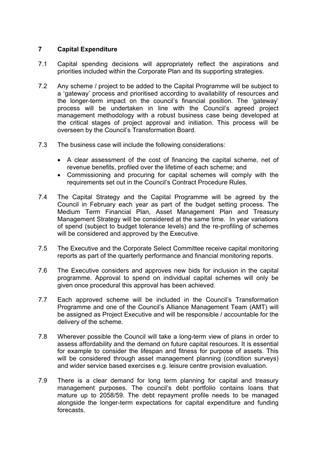# **7 Capital Expenditure**

- 7.1 Capital spending decisions will appropriately reflect the aspirations and priorities included within the Corporate Plan and its supporting strategies.
- 7.2 Any scheme / project to be added to the Capital Programme will be subject to a 'gateway' process and prioritised according to availability of resources and the longer-term impact on the council's financial position. The 'gateway' process will be undertaken in line with the Council's agreed project management methodology with a robust business case being developed at the critical stages of project approval and initiation. This process will be overseen by the Council's Transformation Board.
- 7.3 The business case will include the following considerations:
	- A clear assessment of the cost of financing the capital scheme, net of revenue benefits, profiled over the lifetime of each scheme; and
	- Commissioning and procuring for capital schemes will comply with the requirements set out in the Council's Contract Procedure Rules.
- 7.4 The Capital Strategy and the Capital Programme will be agreed by the Council in February each year as part of the budget setting process. The Medium Term Financial Plan, Asset Management Plan and Treasury Management Strategy will be considered at the same time. In year variations of spend (subject to budget tolerance levels) and the re-profiling of schemes will be considered and approved by the Executive.
- 7.5 The Executive and the Corporate Select Committee receive capital monitoring reports as part of the quarterly performance and financial monitoring reports.
- 7.6 The Executive considers and approves new bids for inclusion in the capital programme. Approval to spend on individual capital schemes will only be given once procedural this approval has been achieved.
- 7.7 Each approved scheme will be included in the Council's Transformation Programme and one of the Council's Alliance Management Team (AMT) will be assigned as Project Executive and will be responsible / accountable for the delivery of the scheme.
- 7.8 Wherever possible the Council will take a long-term view of plans in order to assess affordability and the demand on future capital resources. It is essential for example to consider the lifespan and fitness for purpose of assets. This will be considered through asset management planning (condition surveys) and wider service based exercises e.g. leisure centre provision evaluation.
- 7.9 There is a clear demand for long term planning for capital and treasury management purposes. The council's debt portfolio contains loans that mature up to 2058/59. The debt repayment profile needs to be managed alongside the longer-term expectations for capital expenditure and funding forecasts.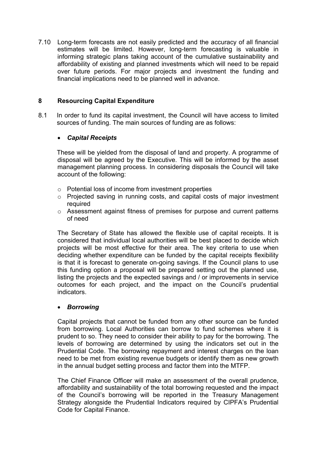7.10 Long-term forecasts are not easily predicted and the accuracy of all financial estimates will be limited. However, long-term forecasting is valuable in informing strategic plans taking account of the cumulative sustainability and affordability of existing and planned investments which will need to be repaid over future periods. For major projects and investment the funding and financial implications need to be planned well in advance.

# **8 Resourcing Capital Expenditure**

8.1 In order to fund its capital investment, the Council will have access to limited sources of funding. The main sources of funding are as follows:

# *Capital Receipts*

These will be yielded from the disposal of land and property. A programme of disposal will be agreed by the Executive. This will be informed by the asset management planning process. In considering disposals the Council will take account of the following:

- o Potential loss of income from investment properties
- o Projected saving in running costs, and capital costs of major investment required
- o Assessment against fitness of premises for purpose and current patterns of need

The Secretary of State has allowed the flexible use of capital receipts. It is considered that individual local authorities will be best placed to decide which projects will be most effective for their area. The key criteria to use when deciding whether expenditure can be funded by the capital receipts flexibility is that it is forecast to generate on-going savings. If the Council plans to use this funding option a proposal will be prepared setting out the planned use, listing the projects and the expected savings and / or improvements in service outcomes for each project, and the impact on the Council's prudential indicators.

# *Borrowing*

Capital projects that cannot be funded from any other source can be funded from borrowing. Local Authorities can borrow to fund schemes where it is prudent to so. They need to consider their ability to pay for the borrowing. The levels of borrowing are determined by using the indicators set out in the Prudential Code. The borrowing repayment and interest charges on the loan need to be met from existing revenue budgets or identify them as new growth in the annual budget setting process and factor them into the MTFP.

The Chief Finance Officer will make an assessment of the overall prudence, affordability and sustainability of the total borrowing requested and the impact of the Council's borrowing will be reported in the Treasury Management Strategy alongside the Prudential Indicators required by CIPFA's Prudential Code for Capital Finance.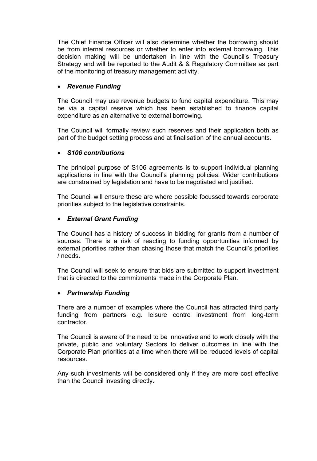The Chief Finance Officer will also determine whether the borrowing should be from internal resources or whether to enter into external borrowing. This decision making will be undertaken in line with the Council's Treasury Strategy and will be reported to the Audit & & Regulatory Committee as part of the monitoring of treasury management activity.

# *Revenue Funding*

The Council may use revenue budgets to fund capital expenditure. This may be via a capital reserve which has been established to finance capital expenditure as an alternative to external borrowing.

The Council will formally review such reserves and their application both as part of the budget setting process and at finalisation of the annual accounts.

#### *S106 contributions*

The principal purpose of S106 agreements is to support individual planning applications in line with the Council's planning policies. Wider contributions are constrained by legislation and have to be negotiated and justified.

The Council will ensure these are where possible focussed towards corporate priorities subject to the legislative constraints.

#### *External Grant Funding*

The Council has a history of success in bidding for grants from a number of sources. There is a risk of reacting to funding opportunities informed by external priorities rather than chasing those that match the Council's priorities / needs.

The Council will seek to ensure that bids are submitted to support investment that is directed to the commitments made in the Corporate Plan.

#### *Partnership Funding*

There are a number of examples where the Council has attracted third party funding from partners e.g. leisure centre investment from long-term contractor.

The Council is aware of the need to be innovative and to work closely with the private, public and voluntary Sectors to deliver outcomes in line with the Corporate Plan priorities at a time when there will be reduced levels of capital resources.

Any such investments will be considered only if they are more cost effective than the Council investing directly.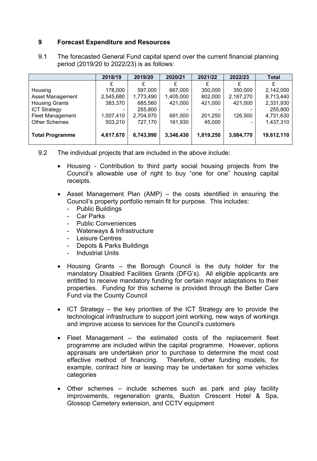# **9 Forecast Expenditure and Resources**

9.1 The forecasted General Fund capital spend over the current financial planning period (2019/20 to 2022/23) is as follows:

|                         | 2018/19   | 2019/20   | 2020/21   | 2021/22   | 2022/23   | Total      |
|-------------------------|-----------|-----------|-----------|-----------|-----------|------------|
|                         |           |           |           |           |           |            |
| Housing                 | 178,000   | 597,000   | 667,000   | 350,000   | 350,000   | 2,142,000  |
| <b>Asset Management</b> | 2,545,680 | 1,773,490 | 1,405,000 | 802,000   | 2,187,270 | 8,713,440  |
| <b>Housing Grants</b>   | 383,370   | 685,560   | 421,000   | 421,000   | 421,000   | 2,331,930  |
| <b>ICT Strategy</b>     |           | 255,800   |           |           |           | 255,800    |
| <b>Fleet Management</b> | 1,007,410 | 2,704,970 | 691,500   | 201,250   | 126,500   | 4,731,630  |
| <b>Other Schemes</b>    | 503,210   | 727,170   | 161,930   | 45,000    |           | 1,437,310  |
|                         |           |           |           |           |           |            |
| <b>Total Programme</b>  | 4,617,670 | 6,743,990 | 3,346,430 | 1,819,250 | 3,084,770 | 19,612,110 |
|                         |           |           |           |           |           |            |

- 9.2 The individual projects that are included in the above include:
	- Housing Contribution to third party social housing projects from the Council's allowable use of right to buy "one for one" housing capital receipts.
	- Asset Management Plan (AMP) the costs identified in ensuring the Council's property portfolio remain fit for purpose. This includes:
		- Public Buildings
		- Car Parks
		- Public Conveniences
		- Waterways & Infrastructure
		- Leisure Centres
		- Depots & Parks Buildings
		- Industrial Units
	- Housing Grants the Borough Council is the duty holder for the mandatory Disabled Facilities Grants (DFG's). All eligible applicants are entitled to receive mandatory funding for certain major adaptations to their properties. Funding for this scheme is provided through the Better Care Fund via the County Council
	- $\bullet$  ICT Strategy the key priorities of the ICT Strategy are to provide the technological infrastructure to support joint working, new ways of workings and improve access to services for the Council's customers
	- Fleet Management the estimated costs of the replacement fleet programme are included within the capital programme. However, options appraisals are undertaken prior to purchase to determine the most cost effective method of financing. Therefore, other funding models, for example, contract hire or leasing may be undertaken for some vehicles categories
	- Other schemes include schemes such as park and play facility improvements, regeneration grants, Buxton Crescent Hotel & Spa, Glossop Cemetery extension, and CCTV equipment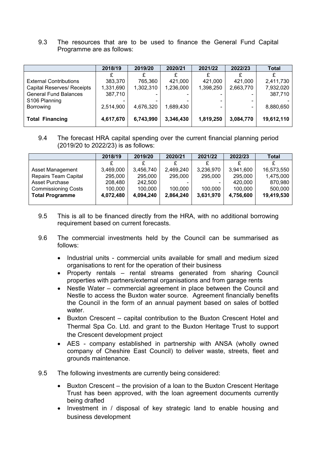9.3 The resources that are to be used to finance the General Fund Capital Programme are as follows:

|                                   | 2018/19   | 2019/20   | 2020/21   | 2021/22   | 2022/23   | <b>Total</b> |
|-----------------------------------|-----------|-----------|-----------|-----------|-----------|--------------|
|                                   |           |           |           |           |           |              |
| <b>External Contributions</b>     | 383,370   | 765,360   | 421,000   | 421,000   | 421,000   | 2,411,730    |
| <b>Capital Reserves/ Receipts</b> | 1,331,690 | 1,302,310 | 1,236,000 | 1,398,250 | 2,663,770 | 7,932,020    |
| <b>General Fund Balances</b>      | 387,710   |           |           |           |           | 387,710      |
| S106 Planning                     |           |           |           |           |           |              |
| Borrowing                         | 2,514,900 | 4,676,320 | 1,689,430 |           |           | 8,880,650    |
|                                   |           |           |           |           |           |              |
| <b>Total Financing</b>            | 4,617,670 | 6,743,990 | 3,346,430 | 1,819,250 | 3,084,770 | 19,612,110   |

# 9.4 The forecast HRA capital spending over the current financial planning period (2019/20 to 2022/23) is as follows:

|                             | 2018/19   | 2019/20   | 2020/21   | 2021/22   | 2022/23   | <b>Total</b> |
|-----------------------------|-----------|-----------|-----------|-----------|-----------|--------------|
|                             |           |           |           |           |           |              |
| Asset Management            | 3,469,000 | 3,456,740 | 2,469,240 | 3,236,970 | 3,941,600 | 16,573,550   |
| <b>Repairs Team Capital</b> | 295,000   | 295,000   | 295,000   | 295,000   | 295,000   | 1,475,000    |
| <b>Asset Purchase</b>       | 208,480   | 242,500   |           |           | 420,000   | 870,980      |
| <b>Commissioning Costs</b>  | 100,000   | 100,000   | 100,000   | 100,000   | 100,000   | 500,000      |
| <b>Total Programme</b>      | 4,072,480 | 4,094,240 | 2,864,240 | 3,631,970 | 4,756,600 | 19,419,530   |
|                             |           |           |           |           |           |              |

- 9.5 This is all to be financed directly from the HRA, with no additional borrowing requirement based on current forecasts.
- 9.6 The commercial investments held by the Council can be summarised as follows:
	- Industrial units commercial units available for small and medium sized organisations to rent for the operation of their business
	- Property rentals rental streams generated from sharing Council properties with partners/external organisations and from garage rents
	- Nestle Water commercial agreement in place between the Council and Nestle to access the Buxton water source. Agreement financially benefits the Council in the form of an annual payment based on sales of bottled water.
	- Buxton Crescent *–* capital contribution to the Buxton Crescent Hotel and Thermal Spa Co. Ltd. and grant to the Buxton Heritage Trust to support the Crescent development project
	- AES company established in partnership with ANSA (wholly owned company of Cheshire East Council) to deliver waste, streets, fleet and grounds maintenance.
- 9.5 The following investments are currently being considered:
	- Buxton Crescent the provision of a loan to the Buxton Crescent Heritage Trust has been approved, with the loan agreement documents currently being drafted
	- Investment in / disposal of key strategic land to enable housing and business development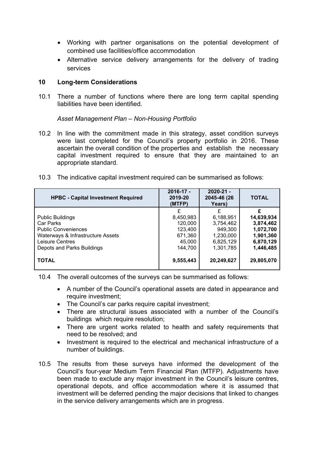- Working with partner organisations on the potential development of combined use facilities/office accommodation
- Alternative service delivery arrangements for the delivery of trading services

#### **10 Long-term Considerations**

10.1 There a number of functions where there are long term capital spending liabilities have been identified.

*Asset Management Plan – Non-Housing Portfolio*

- 10.2 In line with the commitment made in this strategy, asset condition surveys were last completed for the Council's property portfolio in 2016. These ascertain the overall condition of the properties and establish the necessary capital investment required to ensure that they are maintained to an appropriate standard.
- 10.3 The indicative capital investment required can be summarised as follows:

| <b>HPBC - Capital Investment Required</b> | $2016 - 17 -$<br>2019-20<br>(MTFP) | $2020 - 21 -$<br>2045-46 (26<br>Years) | <b>TOTAL</b> |
|-------------------------------------------|------------------------------------|----------------------------------------|--------------|
|                                           |                                    | £                                      | £            |
| <b>Public Buildings</b>                   | 8,450,983                          | 6,188,951                              | 14,639,934   |
| Car Parks                                 | 120,000                            | 3,754,462                              | 3,874,462    |
| <b>Public Conveniences</b>                | 123,400                            | 949,300                                | 1,072,700    |
| Waterways & Infrastructure Assets         | 671,360                            | 1,230,000                              | 1,901,360    |
| Leisure Centres                           | 45,000                             | 6,825,129                              | 6,870,129    |
| Depots and Parks Buildings                | 144,700                            | 1,301,785                              | 1,446,485    |
| <b>TOTAL</b>                              | 9,555,443                          | 20,249,627                             | 29,805,070   |

10.4 The overall outcomes of the surveys can be summarised as follows:

- A number of the Council's operational assets are dated in appearance and require investment;
- The Council's car parks require capital investment;
- There are structural issues associated with a number of the Council's buildings which require resolution;
- There are urgent works related to health and safety requirements that need to be resolved; and
- Investment is required to the electrical and mechanical infrastructure of a number of buildings.
- 10.5 The results from these surveys have informed the development of the Council's four-year Medium Term Financial Plan (MTFP). Adjustments have been made to exclude any major investment in the Council's leisure centres, operational depots, and office accommodation where it is assumed that investment will be deferred pending the major decisions that linked to changes in the service delivery arrangements which are in progress.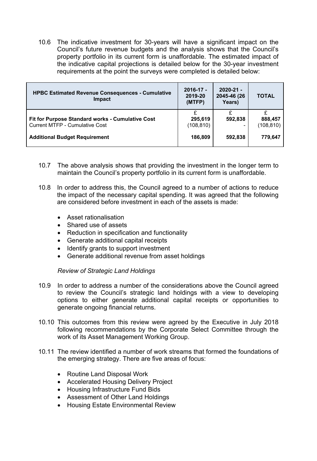10.6 The indicative investment for 30-years will have a significant impact on the Council's future revenue budgets and the analysis shows that the Council's property portfolio in its current form is unaffordable. The estimated impact of the indicative capital projections is detailed below for the 30-year investment requirements at the point the surveys were completed is detailed below:

| <b>HPBC Estimated Revenue Consequences - Cumulative</b><br><b>Impact</b>                  | $2016 - 17 -$<br>2019-20<br>(MTFP) | $2020 - 21 -$<br>2045-46 (26<br>Years) | <b>TOTAL</b>          |
|-------------------------------------------------------------------------------------------|------------------------------------|----------------------------------------|-----------------------|
| Fit for Purpose Standard works - Cumulative Cost<br><b>Current MTFP - Cumulative Cost</b> | 295,619<br>(108, 810)              | £<br>592,838                           | 888,457<br>(108, 810) |
| <b>Additional Budget Requirement</b>                                                      | 186,809                            | 592,838                                | 779.647               |

- 10.7 The above analysis shows that providing the investment in the longer term to maintain the Council's property portfolio in its current form is unaffordable.
- 10.8 In order to address this, the Council agreed to a number of actions to reduce the impact of the necessary capital spending. It was agreed that the following are considered before investment in each of the assets is made:
	- Asset rationalisation
	- Shared use of assets
	- Reduction in specification and functionality
	- Generate additional capital receipts
	- Identify grants to support investment
	- Generate additional revenue from asset holdings

*Review of Strategic Land Holdings*

- 10.9 In order to address a number of the considerations above the Council agreed to review the Council's strategic land holdings with a view to developing options to either generate additional capital receipts or opportunities to generate ongoing financial returns.
- 10.10 This outcomes from this review were agreed by the Executive in July 2018 following recommendations by the Corporate Select Committee through the work of its Asset Management Working Group.
- 10.11 The review identified a number of work streams that formed the foundations of the emerging strategy. There are five areas of focus:
	- Routine Land Disposal Work
	- Accelerated Housing Delivery Project
	- Housing Infrastructure Fund Bids
	- Assessment of Other Land Holdings
	- Housing Estate Environmental Review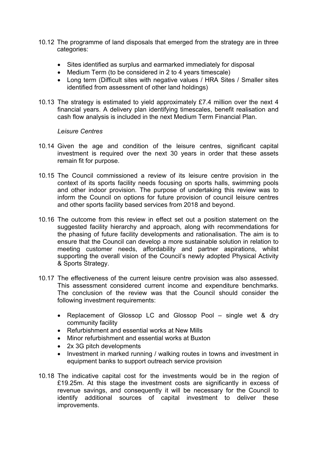- 10.12 The programme of land disposals that emerged from the strategy are in three categories:
	- Sites identified as surplus and earmarked immediately for disposal
	- Medium Term (to be considered in 2 to 4 years timescale)
	- Long term (Difficult sites with negative values / HRA Sites / Smaller sites identified from assessment of other land holdings)
- 10.13 The strategy is estimated to yield approximately £7.4 million over the next 4 financial years. A delivery plan identifying timescales, benefit realisation and cash flow analysis is included in the next Medium Term Financial Plan.

#### *Leisure Centres*

- 10.14 Given the age and condition of the leisure centres, significant capital investment is required over the next 30 years in order that these assets remain fit for purpose.
- 10.15 The Council commissioned a review of its leisure centre provision in the context of its sports facility needs focusing on sports halls, swimming pools and other indoor provision. The purpose of undertaking this review was to inform the Council on options for future provision of council leisure centres and other sports facility based services from 2018 and beyond.
- 10.16 The outcome from this review in effect set out a position statement on the suggested facility hierarchy and approach, along with recommendations for the phasing of future facility developments and rationalisation. The aim is to ensure that the Council can develop a more sustainable solution in relation to meeting customer needs, affordability and partner aspirations, whilst supporting the overall vision of the Council's newly adopted Physical Activity & Sports Strategy.
- 10.17 The effectiveness of the current leisure centre provision was also assessed. This assessment considered current income and expenditure benchmarks. The conclusion of the review was that the Council should consider the following investment requirements:
	- Replacement of Glossop LC and Glossop Pool single wet & dry community facility
	- Refurbishment and essential works at New Mills
	- Minor refurbishment and essential works at Buxton
	- 2x 3G pitch developments
	- Investment in marked running / walking routes in towns and investment in equipment banks to support outreach service provision
- 10.18 The indicative capital cost for the investments would be in the region of £19.25m. At this stage the investment costs are significantly in excess of revenue savings, and consequently it will be necessary for the Council to identify additional sources of capital investment to deliver these improvements.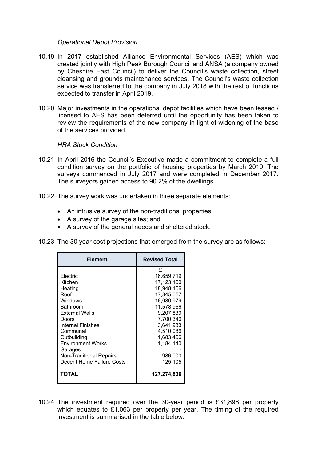#### *Operational Depot Provision*

- 10.19 In 2017 established Alliance Environmental Services (AES) which was created jointly with High Peak Borough Council and ANSA (a company owned by Cheshire East Council) to deliver the Council's waste collection, street cleansing and grounds maintenance services. The Council's waste collection service was transferred to the company in July 2018 with the rest of functions expected to transfer in April 2019.
- 10.20 Major investments in the operational depot facilities which have been leased / licensed to AES has been deferred until the opportunity has been taken to review the requirements of the new company in light of widening of the base of the services provided.

#### *HRA Stock Condition*

- 10.21 In April 2016 the Council's Executive made a commitment to complete a full condition survey on the portfolio of housing properties by March 2019. The surveys commenced in July 2017 and were completed in December 2017. The surveyors gained access to 90.2% of the dwellings.
- 10.22 The survey work was undertaken in three separate elements:
	- An intrusive survey of the non-traditional properties;
	- A survey of the garage sites; and
	- A survey of the general needs and sheltered stock.
- 10.23 The 30 year cost projections that emerged from the survey are as follows:

| <b>Element</b>                                                                                                                                                                                                                                 | <b>Revised Total</b>                                                                                                                                                                      |
|------------------------------------------------------------------------------------------------------------------------------------------------------------------------------------------------------------------------------------------------|-------------------------------------------------------------------------------------------------------------------------------------------------------------------------------------------|
| Electric<br>Kitchen<br>Heating<br>Roof<br>Windows<br>Bathroom<br><b>External Walls</b><br>Doors<br>Internal Finishes<br>Communal<br>Outbuilding<br><b>Environment Works</b><br>Garages<br>Non-Traditional Repairs<br>Decent Home Failure Costs | £<br>16,659,719<br>17,123,100<br>18,948,106<br>17,845,057<br>16,080,979<br>11,578,966<br>9,207,839<br>7,700,340<br>3,641,933<br>4,510,086<br>1,683,466<br>1,184,140<br>986,000<br>125,105 |
| TOTAL                                                                                                                                                                                                                                          | 127,274,836                                                                                                                                                                               |

10.24 The investment required over the 30-year period is £31,898 per property which equates to £1,063 per property per year. The timing of the required investment is summarised in the table below.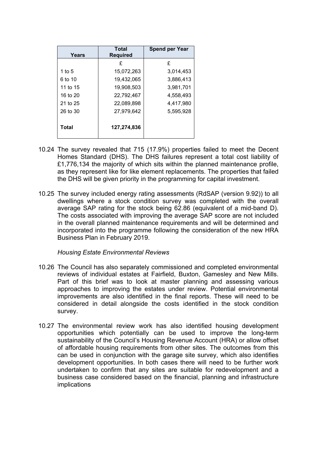| Years    | <b>Total</b><br><b>Required</b> | <b>Spend per Year</b> |
|----------|---------------------------------|-----------------------|
|          | £                               | £                     |
| 1 to $5$ | 15,072,263                      | 3,014,453             |
| 6 to 10  | 19,432,065                      | 3,886,413             |
| 11 to 15 | 19,908,503                      | 3,981,701             |
| 16 to 20 | 22,792,467                      | 4,558,493             |
| 21 to 25 | 22,089,898                      | 4,417,980             |
| 26 to 30 | 27,979,642                      | 5,595,928             |
| Total    | 127,274,836                     |                       |

- 10.24 The survey revealed that 715 (17.9%) properties failed to meet the Decent Homes Standard (DHS). The DHS failures represent a total cost liability of £1,776,134 the majority of which sits within the planned maintenance profile, as they represent like for like element replacements. The properties that failed the DHS will be given priority in the programming for capital investment.
- 10.25 The survey included energy rating assessments (RdSAP (version 9.92)) to all dwellings where a stock condition survey was completed with the overall average SAP rating for the stock being 62.86 (equivalent of a mid-band D). The costs associated with improving the average SAP score are not included in the overall planned maintenance requirements and will be determined and incorporated into the programme following the consideration of the new HRA Business Plan in February 2019.

*Housing Estate Environmental Reviews*

- 10.26 The Council has also separately commissioned and completed environmental reviews of individual estates at Fairfield, Buxton, Gamesley and New Mills. Part of this brief was to look at master planning and assessing various approaches to improving the estates under review. Potential environmental improvements are also identified in the final reports. These will need to be considered in detail alongside the costs identified in the stock condition survey.
- 10.27 The environmental review work has also identified housing development opportunities which potentially can be used to improve the long-term sustainability of the Council's Housing Revenue Account (HRA) or allow offset of affordable housing requirements from other sites. The outcomes from this can be used in conjunction with the garage site survey, which also identifies development opportunities. In both cases there will need to be further work undertaken to confirm that any sites are suitable for redevelopment and a business case considered based on the financial, planning and infrastructure implications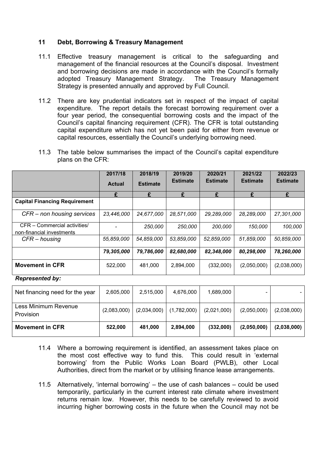# **11 Debt, Borrowing & Treasury Management**

- 11.1 Effective treasury management is critical to the safeguarding and management of the financial resources at the Council's disposal. Investment and borrowing decisions are made in accordance with the Council's formally adopted Treasury Management Strategy. The Treasury Management Strategy is presented annually and approved by Full Council.
- 11.2 There are key prudential indicators set in respect of the impact of capital expenditure. The report details the forecast borrowing requirement over a four year period, the consequential borrowing costs and the impact of the Council's capital financing requirement (CFR). The CFR is total outstanding capital expenditure which has not yet been paid for either from revenue or capital resources, essentially the Council's underlying borrowing need.
- 11.3 The table below summarises the impact of the Council's capital expenditure plans on the CFR:

|                                                           | 2017/18       | 2018/19         | 2019/20         | 2020/21         | 2021/22         | 2022/23         |
|-----------------------------------------------------------|---------------|-----------------|-----------------|-----------------|-----------------|-----------------|
|                                                           | <b>Actual</b> | <b>Estimate</b> | <b>Estimate</b> | <b>Estimate</b> | <b>Estimate</b> | <b>Estimate</b> |
|                                                           | £             | £               | £               | £               | £               | £               |
| <b>Capital Financing Requirement</b>                      |               |                 |                 |                 |                 |                 |
| CFR – non housing services                                | 23,446,000    | 24,677,000      | 28,571,000      | 29,289,000      | 28,289,000      | 27,301,000      |
| CFR - Commercial activities/<br>non-financial investments |               | 250,000         | 250,000         | 200,000         | 150,000         | 100,000         |
| $CFR - housing$                                           | 55,859,000    | 54,859,000      | 53,859,000      | 52,859,000      | 51,859,000      | 50,859,000      |
|                                                           | 79,305,000    | 79,786,000      | 82,680,000      | 82,348,000      | 80,298,000      | 78,260,000      |
| <b>Movement in CFR</b>                                    | 522,000       | 481,000         | 2,894,000       | (332,000)       | (2,050,000)     | (2,038,000)     |

*Represented by:*

| Net financing need for the year   | 2,605,000   | 2,515,000   | 4,676,000   | 1,689,000   |             |             |
|-----------------------------------|-------------|-------------|-------------|-------------|-------------|-------------|
| Less Minimum Revenue<br>Provision | (2,083,000) | (2,034,000) | (1,782,000) | (2,021,000) | (2,050,000) | (2,038,000) |
| <b>Movement in CFR</b>            | 522,000     | 481.000     | 2,894,000   | (332,000)   | (2,050,000) | (2,038,000) |

- 11.4 Where a borrowing requirement is identified, an assessment takes place on the most cost effective way to fund this. This could result in 'external borrowing' from the Public Works Loan Board (PWLB), other Local Authorities, direct from the market or by utilising finance lease arrangements.
- 11.5 Alternatively, 'internal borrowing' the use of cash balances could be used temporarily, particularly in the current interest rate climate where investment returns remain low. However, this needs to be carefully reviewed to avoid incurring higher borrowing costs in the future when the Council may not be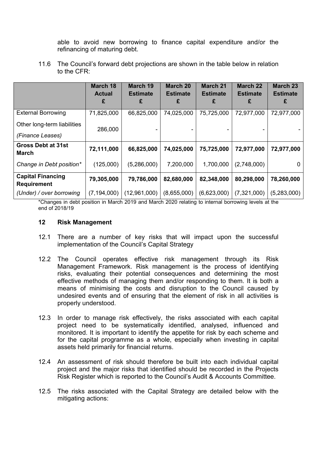able to avoid new borrowing to finance capital expenditure and/or the refinancing of maturing debt.

11.6 The Council's forward debt projections are shown in the table below in relation to the CFR:

|                                                | <b>March 18</b><br><b>Actual</b><br>£ | <b>March 19</b><br><b>Estimate</b><br>£ | <b>March 20</b><br><b>Estimate</b><br>£ | <b>March 21</b><br><b>Estimate</b><br>£ | <b>March 22</b><br><b>Estimate</b><br>£ | <b>March 23</b><br><b>Estimate</b><br>£ |
|------------------------------------------------|---------------------------------------|-----------------------------------------|-----------------------------------------|-----------------------------------------|-----------------------------------------|-----------------------------------------|
| <b>External Borrowing</b>                      | 71,825,000                            | 66,825,000                              | 74,025,000                              | 75,725,000                              | 72,977,000                              | 72,977,000                              |
| Other long-term liabilities                    | 286,000                               |                                         |                                         |                                         |                                         |                                         |
| (Finance Leases)                               |                                       |                                         |                                         |                                         |                                         |                                         |
| <b>Gross Debt at 31st</b><br><b>March</b>      | 72,111,000                            | 66,825,000                              | 74,025,000                              | 75,725,000                              | 72,977,000                              | 72,977,000                              |
| Change in Debt position*                       | (125,000)                             | (5,286,000)                             | 7,200,000                               | 1,700,000                               | (2,748,000)                             | $\Omega$                                |
| <b>Capital Financing</b><br><b>Requirement</b> | 79,305,000                            | 79,786,000                              | 82,680,000                              | 82,348,000                              | 80,298,000                              | 78,260,000                              |
| (Under) / over borrowing                       | (7, 194, 000)                         | (12,961,000)                            | (8,655,000)                             | (6,623,000)                             | (7,321,000)                             | (5,283,000)                             |

\*Changes in debt position in March 2019 and March 2020 relating to internal borrowing levels at the end of 2018/19

#### **12 Risk Management**

- 12.1 There are a number of key risks that will impact upon the successful implementation of the Council's Capital Strategy
- 12.2 The Council operates effective risk management through its Risk Management Framework. Risk management is the process of identifying risks, evaluating their potential consequences and determining the most effective methods of managing them and/or responding to them. It is both a means of minimising the costs and disruption to the Council caused by undesired events and of ensuring that the element of risk in all activities is properly understood.
- 12.3 In order to manage risk effectively, the risks associated with each capital project need to be systematically identified, analysed, influenced and monitored. It is important to identify the appetite for risk by each scheme and for the capital programme as a whole, especially when investing in capital assets held primarily for financial returns.
- 12.4 An assessment of risk should therefore be built into each individual capital project and the major risks that identified should be recorded in the Projects Risk Register which is reported to the Council's Audit & Accounts Committee.
- 12.5 The risks associated with the Capital Strategy are detailed below with the mitigating actions: